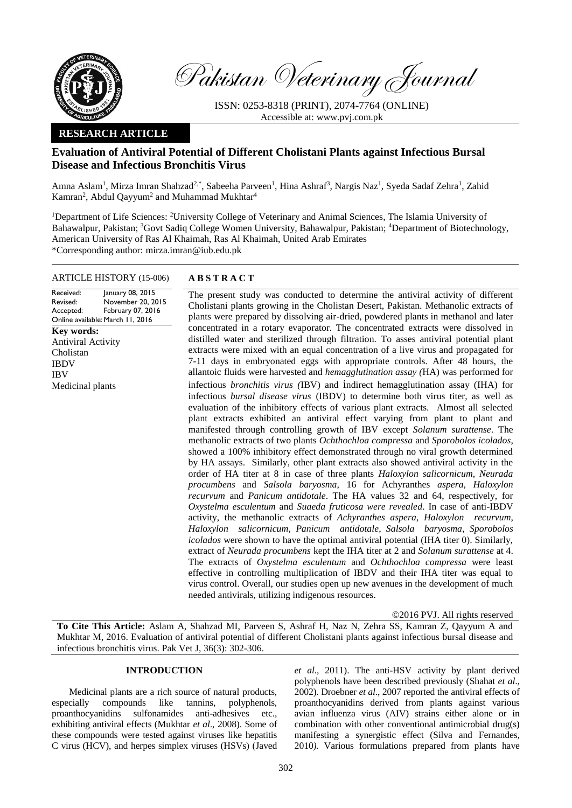

Pakistan Veterinary Journal

ISSN: 0253-8318 (PRINT), 2074-7764 (ONLINE) Accessible at: [www.pvj.com.pk](http://www.pvj.com.pk/)

# **RESEARCH ARTICLE**

# **Evaluation of Antiviral Potential of Different Cholistani Plants against Infectious Bursal Disease and Infectious Bronchitis Virus**

Amna Aslam<sup>1</sup>, Mirza Imran Shahzad<sup>2,\*</sup>, Sabeeha Parveen<sup>1</sup>, Hina Ashraf<sup>3</sup>, Nargis Naz<sup>1</sup>, Syeda Sadaf Zehra<sup>1</sup>, Zahid Kamran<sup>2</sup>, Abdul Qayyum<sup>2</sup> and Muhammad Mukhtar<sup>4</sup>

<sup>1</sup>Department of Life Sciences: <sup>2</sup>University College of Veterinary and Animal Sciences, The Islamia University of Bahawalpur, Pakistan; <sup>3</sup>Govt Sadiq College Women University, Bahawalpur, Pakistan; <sup>4</sup>Department of Biotechnology, American University of Ras Al Khaimah, Ras Al Khaimah, United Arab Emirates \*Corresponding author: mirza.imran@iub.edu.pk

## ARTICLE HISTORY (15-006) **A B S T R A C T**

Received: Revised: Accepted: Online available: March 11, 2016 January 08, 2015 November 20, 2015 February 07, 2016 **Key words:**  Antiviral Activity Cholistan IBDV IBV Medicinal plants

The present study was conducted to determine the antiviral activity of different Cholistani plants growing in the Cholistan Desert, Pakistan. Methanolic extracts of plants were prepared by dissolving air-dried, powdered plants in methanol and later concentrated in a rotary evaporator. The concentrated extracts were dissolved in distilled water and sterilized through filtration. To asses antiviral potential plant extracts were mixed with an equal concentration of a live virus and propagated for 7-11 days in embryonated eggs with appropriate controls. After 48 hours, the allantoic fluids were harvested and *hemagglutination assay (*HA) was performed for infectious *bronchitis virus (*IBV) and indirect hemagglutination assay (IHA) for infectious *bursal disease virus* (IBDV) to determine both virus titer, as well as evaluation of the inhibitory effects of various plant extracts. Almost all selected plant extracts exhibited an antiviral effect varying from plant to plant and manifested through controlling growth of IBV except *Solanum surattense*. The methanolic extracts of two plants *Ochthochloa compressa* and *Sporobolos icolados*, showed a 100% inhibitory effect demonstrated through no viral growth determined by HA assays. Similarly, other plant extracts also showed antiviral activity in the order of HA titer at 8 in case of three plants *Haloxylon salicornicum, Neurada procumbens* and *Salsola baryosma*, 16 for Achyranthes *aspera, Haloxylon recurvum* and *Panicum antidotale*. The HA values 32 and 64, respectively, for *Oxystelma esculentum* and *Suaeda fruticosa were revealed*. In case of anti-IBDV activity, the methanolic extracts of *Achyranthes aspera*, *Haloxylon recurvum*, *Haloxylon salicornicum*, *Panicum antidotale*, *Salsola baryosma*, *Sporobolos icolados* were shown to have the optimal antiviral potential (IHA titer 0). Similarly, extract of *Neurada procumbens* kept the IHA titer at 2 and *Solanum surattense* at 4. The extracts of *Oxystelma esculentum* and *Ochthochloa compressa* were least effective in controlling multiplication of IBDV and their IHA titer was equal to virus control. Overall, our studies open up new avenues in the development of much needed antivirals, utilizing indigenous resources.

©2016 PVJ. All rights reserved

**To Cite This Article:** Aslam A, Shahzad MI, Parveen S, Ashraf H, Naz N, Zehra SS, Kamran Z, Qayyum A and Mukhtar M, 2016. Evaluation of antiviral potential of different Cholistani plants against infectious bursal disease and infectious bronchitis virus. Pak Vet J, 36(3): 302-306.

#### **INTRODUCTION**

Medicinal plants are a rich source of natural products, especially compounds like tannins, polyphenols, proanthocyanidins sulfonamides anti-adhesives etc., exhibiting antiviral effects (Mukhtar *et al*., 2008). Some of these compounds were tested against viruses like hepatitis C virus (HCV), and herpes simplex viruses (HSVs) (Javed

*et al*., 2011). The anti-HSV activity by plant derived polyphenols have been described previously (Shahat *et al*., 2002). Droebner *et al*., 2007 reported the antiviral effects of proanthocyanidins derived from plants against various avian influenza virus (AIV) strains either alone or in combination with other conventional antimicrobial drug(s) manifesting a synergistic effect (Silva and Fernandes*,*  2010*).* Various formulations prepared from plants have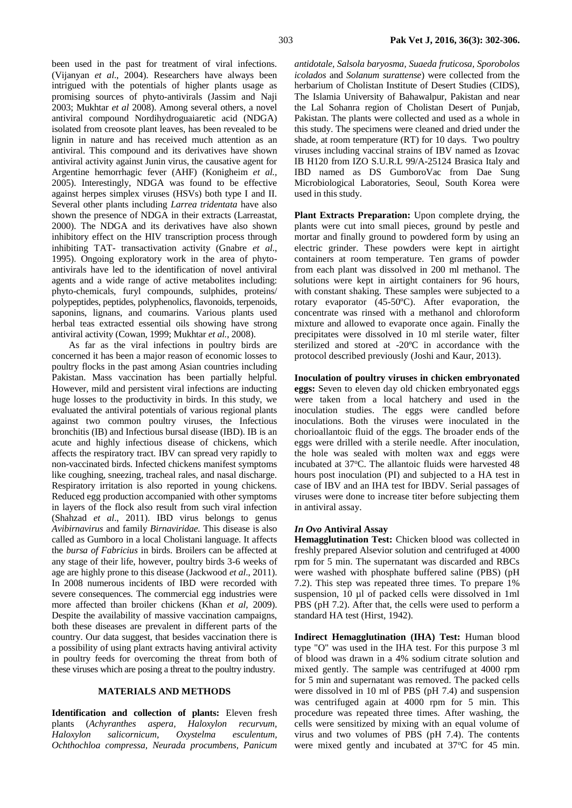been used in the past for treatment of viral infections. (Vijanyan *et al*., 2004). Researchers have always been intrigued with the potentials of higher plants usage as promising sources of phyto-antivirals (Jassim and Naji 2003; Mukhtar *et al* 2008). Among several others, a novel antiviral compound Nordihydroguaiaretic acid (NDGA) isolated from creosote plant leaves, has been revealed to be lignin in nature and has received much attention as an antiviral. This compound and its derivatives have shown antiviral activity against Junin virus, the causative agent for Argentine hemorrhagic fever (AHF) (Konigheim *et al.,* 2005). Interestingly, NDGA was found to be effective against herpes simplex viruses (HSVs) both type I and II. Several other plants including *Larrea tridentata* have also shown the presence of NDGA in their extracts (Larreastat, 2000). The NDGA and its derivatives have also shown inhibitory effect on the HIV transcription process through inhibiting TAT- transactivation activity (Gnabre *et al*., 1995). Ongoing exploratory work in the area of phytoantivirals have led to the identification of novel antiviral agents and a wide range of active metabolites including: phyto-chemicals, furyl compounds, sulphides, proteins/ polypeptides, peptides, polyphenolics, flavonoids, terpenoids, saponins, lignans, and coumarins. Various plants used herbal teas extracted essential oils showing have strong antiviral activity (Cowan, 1999; Mukhtar *et al.*, 2008).

As far as the viral infections in poultry birds are concerned it has been a major reason of economic losses to poultry flocks in the past among Asian countries including Pakistan. Mass vaccination has been partially helpful. However, mild and persistent viral infections are inducting huge losses to the productivity in birds. In this study, we evaluated the antiviral potentials of various regional plants against two common poultry viruses, the Infectious bronchitis (IB) and Infectious bursal disease (IBD). IB is an acute and highly infectious disease of chickens, which affects the respiratory tract. IBV can spread very rapidly to non-vaccinated birds. Infected chickens manifest symptoms like coughing, sneezing, tracheal rales, and nasal discharge. Respiratory irritation is also reported in young chickens. Reduced egg production accompanied with other symptoms in layers of the flock also result from such viral infection (Shahzad *et al*., 2011). IBD virus belongs to genus *Avibirnavirus* and family *Birnaviridae.* This disease is also called as Gumboro in a local Cholistani language. It affects the *bursa of Fabricius* in birds. Broilers can be affected at any stage of their life, however, poultry birds 3-6 weeks of age are highly prone to this disease (Jackwood *et al*., 2011). In 2008 numerous incidents of IBD were recorded with severe consequences. The commercial egg industries were more affected than broiler chickens (Khan *et al,* 2009). Despite the availability of massive vaccination campaigns, both these diseases are prevalent in different parts of the country. Our data suggest, that besides vaccination there is a possibility of using plant extracts having antiviral activity in poultry feeds for overcoming the threat from both of these viruses which are posing a threat to the poultry industry.

### **MATERIALS AND METHODS**

**Identification and collection of plants:** Eleven fresh plants (*Achyranthes aspera, Haloxylon recurvum, Haloxylon salicornicum, Oxystelma esculentum, Ochthochloa compressa, Neurada procumbens, Panicum*  *antidotale, Salsola baryosma, Suaeda fruticosa, Sporobolos icolados* and *Solanum surattense*) were collected from the herbarium of Cholistan Institute of Desert Studies (CIDS), The Islamia University of Bahawalpur, Pakistan and near the Lal Sohanra region of Cholistan Desert of Punjab, Pakistan. The plants were collected and used as a whole in this study. The specimens were cleaned and dried under the shade, at room temperature (RT) for 10 days. Two poultry viruses including vaccinal strains of IBV named as Izovac IB H120 from IZO S.U.R.L 99/A-25124 Brasica Italy and IBD named as DS GumboroVac from Dae Sung Microbiological Laboratories, Seoul, South Korea were used in this study.

**Plant Extracts Preparation:** Upon complete drying, the plants were cut into small pieces, ground by pestle and mortar and finally ground to powdered form by using an electric grinder. These powders were kept in airtight containers at room temperature. Ten grams of powder from each plant was dissolved in 200 ml methanol. The solutions were kept in airtight containers for 96 hours, with constant shaking. These samples were subjected to a rotary evaporator (45-50ºC). After evaporation, the concentrate was rinsed with a methanol and chloroform mixture and allowed to evaporate once again. Finally the precipitates were dissolved in 10 ml sterile water, filter sterilized and stored at -20ºC in accordance with the protocol described previously (Joshi and Kaur, 2013).

**Inoculation of poultry viruses in chicken embryonated eggs:** Seven to eleven day old chicken embryonated eggs were taken from a local hatchery and used in the inoculation studies. The eggs were candled before inoculations. Both the viruses were inoculated in the chorioallantoic fluid of the eggs. The broader ends of the eggs were drilled with a sterile needle. After inoculation, the hole was sealed with molten wax and eggs were incubated at 37°C. The allantoic fluids were harvested 48 hours post inoculation (PI) and subjected to a HA test in case of IBV and an IHA test for IBDV. Serial passages of viruses were done to increase titer before subjecting them in antiviral assay.

#### *In Ovo* **Antiviral Assay**

**Hemagglutination Test:** Chicken blood was collected in freshly prepared Alsevior solution and centrifuged at 4000 rpm for 5 min. The supernatant was discarded and RBCs were washed with phosphate buffered saline (PBS) (pH 7.2). This step was repeated three times. To prepare 1% suspension, 10 µl of packed cells were dissolved in 1ml PBS (pH 7.2). After that, the cells were used to perform a standard HA test (Hirst, 1942).

**Indirect Hemagglutination (IHA) Test:** Human blood type "O" was used in the IHA test. For this purpose 3 ml of blood was drawn in a 4% sodium citrate solution and mixed gently. The sample was centrifuged at 4000 rpm for 5 min and supernatant was removed. The packed cells were dissolved in 10 ml of PBS (pH 7.4) and suspension was centrifuged again at 4000 rpm for 5 min. This procedure was repeated three times. After washing, the cells were sensitized by mixing with an equal volume of virus and two volumes of PBS (pH 7.4). The contents were mixed gently and incubated at  $37^{\circ}$ C for 45 min.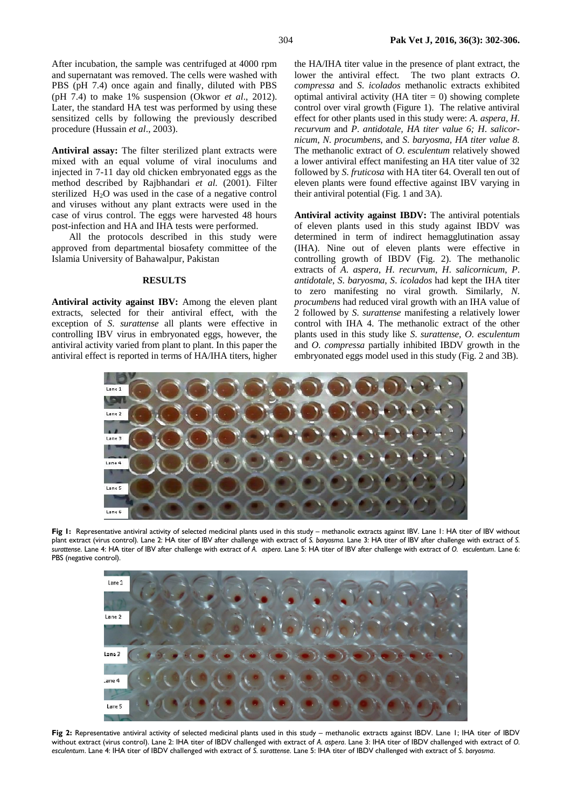After incubation, the sample was centrifuged at 4000 rpm and supernatant was removed. The cells were washed with PBS (pH 7.4) once again and finally, diluted with PBS (pH 7.4) to make 1% suspension (Okwor *et al*., 2012). Later, the standard HA test was performed by using these sensitized cells by following the previously described procedure (Hussain *et al*., 2003).

**Antiviral assay:** The filter sterilized plant extracts were mixed with an equal volume of viral inoculums and injected in 7-11 day old chicken embryonated eggs as the method described by Rajbhandari *et al.* (2001). Filter sterilized H2O was used in the case of a negative control and viruses without any plant extracts were used in the case of virus control. The eggs were harvested 48 hours post-infection and HA and IHA tests were performed.

All the protocols described in this study were approved from departmental biosafety committee of the Islamia University of Bahawalpur, Pakistan

## **RESULTS**

**Antiviral activity against IBV:** Among the eleven plant extracts, selected for their antiviral effect, with the exception of *S*. *surattense* all plants were effective in controlling IBV virus in embryonated eggs, however, the antiviral activity varied from plant to plant. In this paper the antiviral effect is reported in terms of HA/IHA titers, higher

the HA/IHA titer value in the presence of plant extract, the lower the antiviral effect. The two plant extracts *O*. *compressa* and *S*. *icolados* methanolic extracts exhibited optimal antiviral activity (HA titer  $= 0$ ) showing complete control over viral growth (Figure 1). The relative antiviral effect for other plants used in this study were: *A*. *aspera*, *H*. *recurvum* and *P*. *antidotale, HA titer value 6; H*. *salicornicum*, *N*. *procumbens*, and *S*. *baryosma, HA titer value 8.*  The methanolic extract of *O*. *esculentum* relatively showed a lower antiviral effect manifesting an HA titer value of 32 followed by *S*. *fruticosa* with HA titer 64. Overall ten out of eleven plants were found effective against IBV varying in their antiviral potential (Fig. 1 and 3A).

**Antiviral activity against IBDV:** The antiviral potentials of eleven plants used in this study against IBDV was determined in term of indirect hemagglutination assay (IHA). Nine out of eleven plants were effective in controlling growth of IBDV (Fig. 2). The methanolic extracts of *A*. *aspera*, *H*. *recurvum*, *H*. *salicornicum*, *P*. *antidotale*, *S*. *baryosma*, *S*. *icolados* had kept the IHA titer to zero manifesting no viral growth. Similarly, *N*. *procumbens* had reduced viral growth with an IHA value of 2 followed by *S*. *surattense* manifesting a relatively lower control with IHA 4. The methanolic extract of the other plants used in this study like *S*. *surattense, O*. *esculentum* and *O*. *compressa* partially inhibited IBDV growth in the embryonated eggs model used in this study (Fig. 2 and 3B).



**Fig 1:** Representative antiviral activity of selected medicinal plants used in this study – methanolic extracts against IBV. Lane 1: HA titer of IBV without plant extract (virus control). Lane 2: HA titer of IBV after challenge with extract of *S. baryosma*. Lane 3: HA titer of IBV after challenge with extract of *S. surattense*. Lane 4: HA titer of IBV after challenge with extract of *A. aspera*. Lane 5: HA titer of IBV after challenge with extract of *O. esculentum*. Lane 6: PBS (negative control).



**Fig 2:** Representative antiviral activity of selected medicinal plants used in this study – methanolic extracts against IBDV. Lane 1; IHA titer of IBDV without extract (virus control). Lane 2: IHA titer of IBDV challenged with extract of *A*. *aspera*. Lane 3: IHA titer of IBDV challenged with extract of *O. esculentum*. Lane 4: IHA titer of IBDV challenged with extract of *S. surattense*. Lane 5: IHA titer of IBDV challenged with extract of *S. baryosma*.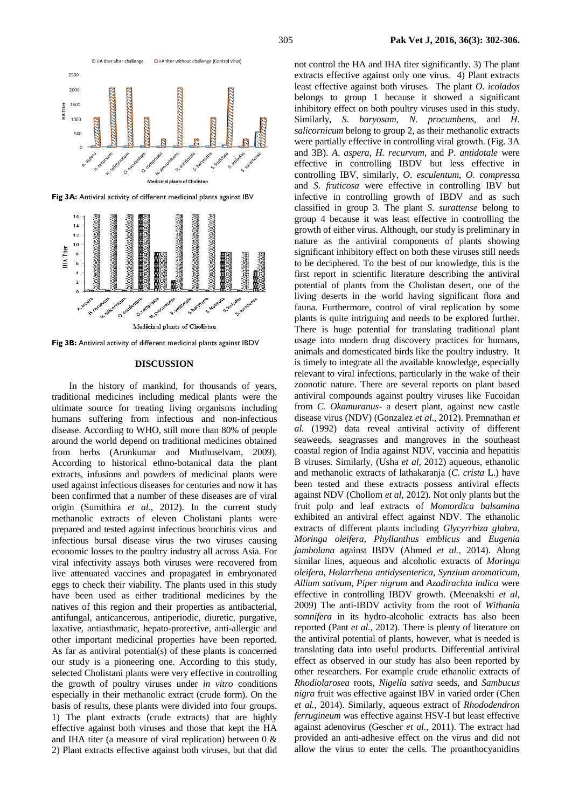

**Fig 3B:** Antiviral activity of different medicinal plants against IBDV

### **DISCUSSION**

In the history of mankind, for thousands of years, traditional medicines including medical plants were the ultimate source for treating living organisms including humans suffering from infectious and non-infectious disease. According to WHO, still more than 80% of people around the world depend on traditional medicines obtained from herbs (Arunkumar and Muthuselvam, 2009). According to historical ethno-botanical data the plant extracts, infusions and powders of medicinal plants were used against infectious diseases for centuries and now it has been confirmed that a number of these diseases are of viral origin (Sumithira *et al*., 2012). In the current study methanolic extracts of eleven Cholistani plants were prepared and tested against infectious bronchitis virus and infectious bursal disease virus the two viruses causing economic losses to the poultry industry all across Asia. For viral infectivity assays both viruses were recovered from live attenuated vaccines and propagated in embryonated eggs to check their viability. The plants used in this study have been used as either traditional medicines by the natives of this region and their properties as antibacterial, antifungal, anticancerous, antiperiodic, diuretic, purgative, laxative, antiasthmatic, hepato-protective, anti-allergic and other important medicinal properties have been reported. As far as antiviral potential(s) of these plants is concerned our study is a pioneering one. According to this study, selected Cholistani plants were very effective in controlling the growth of poultry viruses under *in vitro* conditions especially in their methanolic extract (crude form). On the basis of results, these plants were divided into four groups. 1) The plant extracts (crude extracts) that are highly effective against both viruses and those that kept the HA and IHA titer (a measure of viral replication) between 0 & 2) Plant extracts effective against both viruses, but that did

not control the HA and IHA titer significantly. 3) The plant extracts effective against only one virus. 4) Plant extracts least effective against both viruses. The plant *O*. *icolados* belongs to group 1 because it showed a significant inhibitory effect on both poultry viruses used in this study. Similarly, *S*. *baryosam*, *N*. *procumbens*, and *H*. *salicornicum* belong to group 2, as their methanolic extracts were partially effective in controlling viral growth. (Fig. 3A and 3B). *A*. *aspera*, *H*. *recurvum*, and *P*. *antidotale* were effective in controlling IBDV but less effective in controlling IBV, similarly, *O*. *esculentum*, *O*. *compressa* and *S*. *fruticosa* were effective in controlling IBV but infective in controlling growth of IBDV and as such classified in group 3. The plant *S*. *surattense* belong to group 4 because it was least effective in controlling the growth of either virus. Although, our study is preliminary in nature as the antiviral components of plants showing significant inhibitory effect on both these viruses still needs to be deciphered. To the best of our knowledge, this is the first report in scientific literature describing the antiviral potential of plants from the Cholistan desert, one of the living deserts in the world having significant flora and fauna. Furthermore, control of viral replication by some plants is quite intriguing and needs to be explored further. There is huge potential for translating traditional plant usage into modern drug discovery practices for humans, animals and domesticated birds like the poultry industry. It is timely to integrate all the available knowledge, especially relevant to viral infections, particularly in the wake of their zoonotic nature. There are several reports on plant based antiviral compounds against poultry viruses like Fucoidan from *C. Okamuranus*- a desert plant, against new castle disease virus (NDV) (Gonzalez *et al*., 2012). Premnathan *et al.* (1992) data reveal antiviral activity of different seaweeds, seagrasses and mangroves in the southeast coastal region of India against NDV, vaccinia and hepatitis B viruses. Similarly, (Usha *et al,* 2012) aqueous, ethanolic and methanolic extracts of lathakaranja (*C. crista* L.) have been tested and these extracts possess antiviral effects against NDV (Chollom *et al,* 2012). Not only plants but the fruit pulp and leaf extracts of *Momordica balsamina* exhibited an antiviral effect against NDV. The ethanolic extracts of different plants including *Glycyrrhiza glabra*, *Moringa oleifera*, *Phyllanthus emblicus* and *Eugenia jambolana* against IBDV (Ahmed *et al.,* 2014). Along similar lines, aqueous and alcoholic extracts of *Moringa oleifera*, *Holarrhena antidysenterica*, *Synzium aromaticum*, *Allium sativum*, *Piper nigrum* and *Azadirachta indica* were effective in controlling IBDV growth. (Meenakshi *et al*, 2009) The anti-IBDV activity from the root of *Withania somnifera* in its hydro-alcoholic extracts has also been reported (Pant *et al.,* 2012). There is plenty of literature on the antiviral potential of plants, however, what is needed is translating data into useful products. Differential antiviral effect as observed in our study has also been reported by other researchers. For example crude ethanolic extracts of *Rhodiolarosea* roots, *Nigella sativa* seeds, and *Sambucus nigra* fruit was effective against IBV in varied order (Chen *et al.,* 2014). Similarly, aqueous extract of *Rhododendron ferrugineum* was effective against HSV-I but least effective against adenovirus (Gescher *et al*., 2011). The extract had provided an anti-adhesive effect on the virus and did not allow the virus to enter the cells. The proanthocyanidins